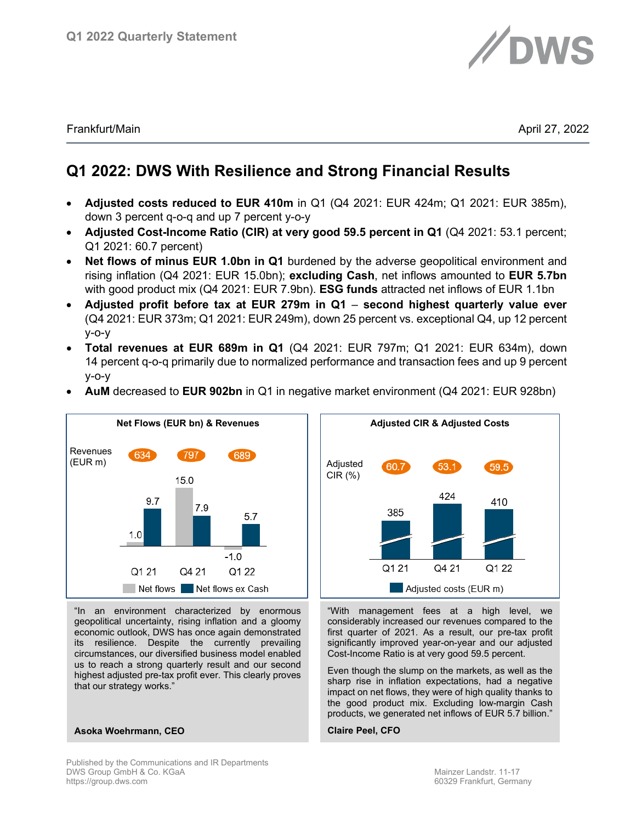

Frankfurt/Main April 27, 2022

# **Q1 2022: DWS With Resilience and Strong Financial Results**

- **Adjusted costs reduced to EUR 410m** in Q1 (Q4 2021: EUR 424m; Q1 2021: EUR 385m), down 3 percent q-o-q and up 7 percent y-o-y
- **Adjusted Cost-Income Ratio (CIR) at very good 59.5 percent in Q1** (Q4 2021: 53.1 percent; Q1 2021: 60.7 percent)
- **Net flows of minus EUR 1.0bn in Q1** burdened by the adverse geopolitical environment and rising inflation (Q4 2021: EUR 15.0bn); **excluding Cash**, net inflows amounted to **EUR 5.7bn** with good product mix (Q4 2021: EUR 7.9bn). **ESG funds** attracted net inflows of EUR 1.1bn
- **Adjusted profit before tax at EUR 279m in Q1 second highest quarterly value ever** (Q4 2021: EUR 373m; Q1 2021: EUR 249m), down 25 percent vs. exceptional Q4, up 12 percent y-o-y
- **Total revenues at EUR 689m in Q1** (Q4 2021: EUR 797m; Q1 2021: EUR 634m), down 14 percent q-o-q primarily due to normalized performance and transaction fees and up 9 percent y-o-y
- **AuM** decreased to **EUR 902bn** in Q1 in negative market environment (Q4 2021: EUR 928bn)



"In an environment characterized by enormous geopolitical uncertainty, rising inflation and a gloomy economic outlook, DWS has once again demonstrated its resilience. Despite the currently prevailing circumstances, our diversified business model enabled us to reach a strong quarterly result and our second highest adjusted pre-tax profit ever. This clearly proves that our strategy works."



"With management fees at a high level, we considerably increased our revenues compared to the first quarter of 2021. As a result, our pre-tax profit significantly improved year-on-year and our adjusted Cost-Income Ratio is at very good 59.5 percent.

Even though the slump on the markets, as well as the sharp rise in inflation expectations, had a negative impact on net flows, they were of high quality thanks to the good product mix. Excluding low-margin Cash products, we generated net inflows of EUR 5.7 billion."

#### **Claire Peel, CFO**

# Published by the Communications and IR Departments

**Asoka Woehrmann, CEO**

DWS Group GmbH & Co. KGaA Mainzer Landstr. 11-17<br>https://group.dws.com Mainzer Landstr. 11-17<br>60329 Frankfurt, Germa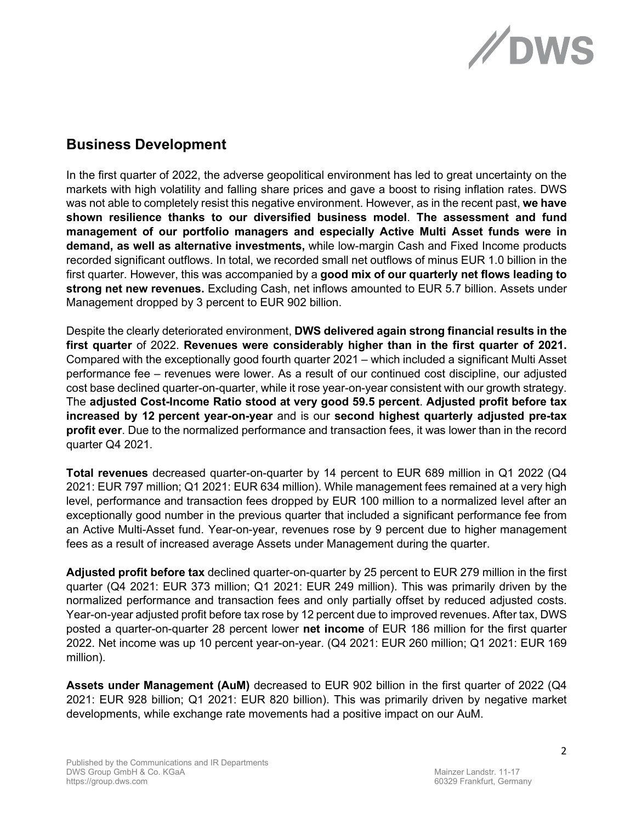

## **Business Development**

In the first quarter of 2022, the adverse geopolitical environment has led to great uncertainty on the markets with high volatility and falling share prices and gave a boost to rising inflation rates. DWS was not able to completely resist this negative environment. However, as in the recent past, **we have shown resilience thanks to our diversified business model**. **The assessment and fund management of our portfolio managers and especially Active Multi Asset funds were in demand, as well as alternative investments,** while low-margin Cash and Fixed Income products recorded significant outflows. In total, we recorded small net outflows of minus EUR 1.0 billion in the first quarter. However, this was accompanied by a **good mix of our quarterly net flows leading to strong net new revenues.** Excluding Cash, net inflows amounted to EUR 5.7 billion. Assets under Management dropped by 3 percent to EUR 902 billion.

Despite the clearly deteriorated environment, **DWS delivered again strong financial results in the first quarter** of 2022. **Revenues were considerably higher than in the first quarter of 2021.**  Compared with the exceptionally good fourth quarter 2021 – which included a significant Multi Asset performance fee – revenues were lower. As a result of our continued cost discipline, our adjusted cost base declined quarter-on-quarter, while it rose year-on-year consistent with our growth strategy. The **adjusted Cost-Income Ratio stood at very good 59.5 percent**. **Adjusted profit before tax increased by 12 percent year-on-year** and is our **second highest quarterly adjusted pre-tax profit ever**. Due to the normalized performance and transaction fees, it was lower than in the record quarter Q4 2021.

**Total revenues** decreased quarter-on-quarter by 14 percent to EUR 689 million in Q1 2022 (Q4 2021: EUR 797 million; Q1 2021: EUR 634 million). While management fees remained at a very high level, performance and transaction fees dropped by EUR 100 million to a normalized level after an exceptionally good number in the previous quarter that included a significant performance fee from an Active Multi-Asset fund. Year-on-year, revenues rose by 9 percent due to higher management fees as a result of increased average Assets under Management during the quarter.

**Adjusted profit before tax** declined quarter-on-quarter by 25 percent to EUR 279 million in the first quarter (Q4 2021: EUR 373 million; Q1 2021: EUR 249 million). This was primarily driven by the normalized performance and transaction fees and only partially offset by reduced adjusted costs. Year-on-year adjusted profit before tax rose by 12 percent due to improved revenues. After tax, DWS posted a quarter-on-quarter 28 percent lower **net income** of EUR 186 million for the first quarter 2022. Net income was up 10 percent year-on-year. (Q4 2021: EUR 260 million; Q1 2021: EUR 169 million).

**Assets under Management (AuM)** decreased to EUR 902 billion in the first quarter of 2022 (Q4 2021: EUR 928 billion; Q1 2021: EUR 820 billion). This was primarily driven by negative market developments, while exchange rate movements had a positive impact on our AuM.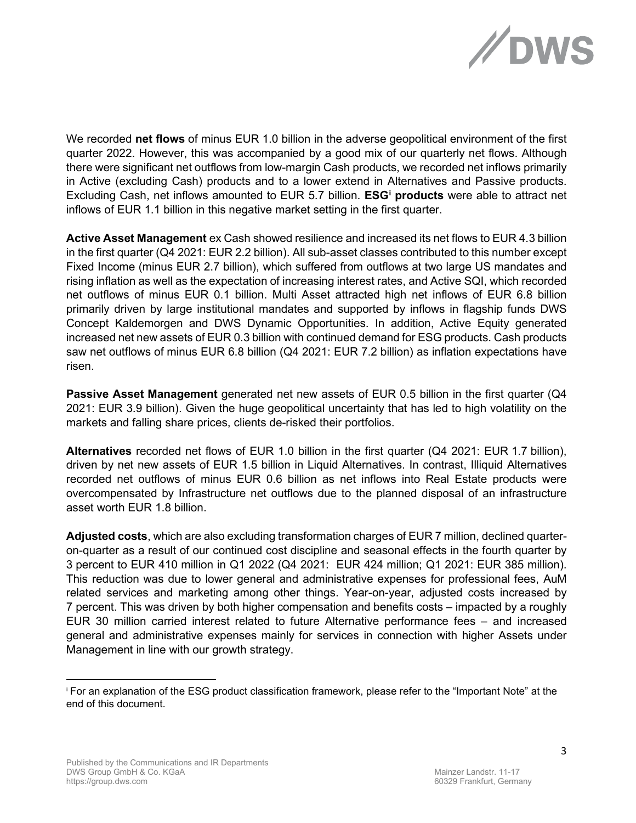

We recorded **net flows** of minus EUR 1.0 billion in the adverse geopolitical environment of the first quarter 2022. However, this was accompanied by a good mix of our quarterly net flows. Although there were significant net outflows from low-margin Cash products, we recorded net inflows primarily in Active (excluding Cash) products and to a lower extend in Alternatives and Passive products. Excluding Cash, net inflows amounted to EUR 5.7 billion. **ESG[i](#page-2-0) products** were able to attract net inflows of EUR 1.1 billion in this negative market setting in the first quarter.

**Active Asset Management** ex Cash showed resilience and increased its net flows to EUR 4.3 billion in the first quarter (Q4 2021: EUR 2.2 billion). All sub-asset classes contributed to this number except Fixed Income (minus EUR 2.7 billion), which suffered from outflows at two large US mandates and rising inflation as well as the expectation of increasing interest rates, and Active SQI, which recorded net outflows of minus EUR 0.1 billion. Multi Asset attracted high net inflows of EUR 6.8 billion primarily driven by large institutional mandates and supported by inflows in flagship funds DWS Concept Kaldemorgen and DWS Dynamic Opportunities. In addition, Active Equity generated increased net new assets of EUR 0.3 billion with continued demand for ESG products. Cash products saw net outflows of minus EUR 6.8 billion (Q4 2021: EUR 7.2 billion) as inflation expectations have risen.

**Passive Asset Management** generated net new assets of EUR 0.5 billion in the first quarter (Q4 2021: EUR 3.9 billion). Given the huge geopolitical uncertainty that has led to high volatility on the markets and falling share prices, clients de-risked their portfolios.

**Alternatives** recorded net flows of EUR 1.0 billion in the first quarter (Q4 2021: EUR 1.7 billion), driven by net new assets of EUR 1.5 billion in Liquid Alternatives. In contrast, Illiquid Alternatives recorded net outflows of minus EUR 0.6 billion as net inflows into Real Estate products were overcompensated by Infrastructure net outflows due to the planned disposal of an infrastructure asset worth EUR 1.8 billion.

**Adjusted costs**, which are also excluding transformation charges of EUR 7 million, declined quarteron-quarter as a result of our continued cost discipline and seasonal effects in the fourth quarter by 3 percent to EUR 410 million in Q1 2022 (Q4 2021: EUR 424 million; Q1 2021: EUR 385 million). This reduction was due to lower general and administrative expenses for professional fees, AuM related services and marketing among other things. Year-on-year, adjusted costs increased by 7 percent. This was driven by both higher compensation and benefits costs – impacted by a roughly EUR 30 million carried interest related to future Alternative performance fees – and increased general and administrative expenses mainly for services in connection with higher Assets under Management in line with our growth strategy.

<span id="page-2-0"></span><sup>i</sup> For an explanation of the ESG product classification framework, please refer to the "Important Note" at the end of this document.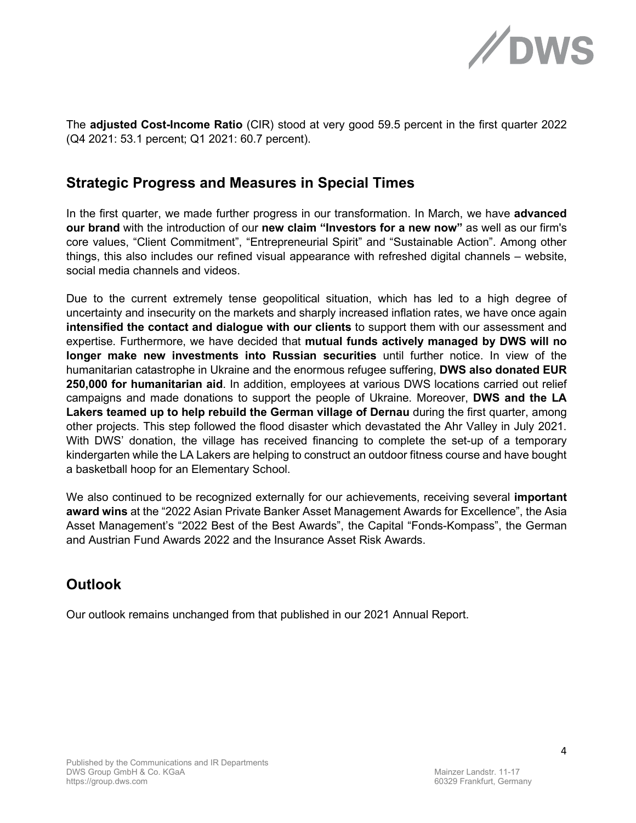

The **adjusted Cost-Income Ratio** (CIR) stood at very good 59.5 percent in the first quarter 2022 (Q4 2021: 53.1 percent; Q1 2021: 60.7 percent).

## **Strategic Progress and Measures in Special Times**

In the first quarter, we made further progress in our transformation. In March, we have **advanced our brand** with the introduction of our **new claim "Investors for a new now"** as well as our firm's core values, "Client Commitment", "Entrepreneurial Spirit" and "Sustainable Action". Among other things, this also includes our refined visual appearance with refreshed digital channels – website, social media channels and videos.

Due to the current extremely tense geopolitical situation, which has led to a high degree of uncertainty and insecurity on the markets and sharply increased inflation rates, we have once again **intensified the contact and dialogue with our clients** to support them with our assessment and expertise. Furthermore, we have decided that **mutual funds actively managed by DWS will no longer make new investments into Russian securities** until further notice. In view of the humanitarian catastrophe in Ukraine and the enormous refugee suffering, **DWS also donated EUR 250,000 for humanitarian aid**. In addition, employees at various DWS locations carried out relief campaigns and made donations to support the people of Ukraine. Moreover, **DWS and the LA Lakers teamed up to help rebuild the German village of Dernau** during the first quarter, among other projects. This step followed the flood disaster which devastated the Ahr Valley in July 2021. With DWS' donation, the village has received financing to complete the set-up of a temporary kindergarten while the LA Lakers are helping to construct an outdoor fitness course and have bought a basketball hoop for an Elementary School.

We also continued to be recognized externally for our achievements, receiving several **important award wins** at the "2022 Asian Private Banker Asset Management Awards for Excellence", the Asia Asset Management's "2022 Best of the Best Awards", the Capital "Fonds-Kompass", the German and Austrian Fund Awards 2022 and the Insurance Asset Risk Awards.

# **Outlook**

Our outlook remains unchanged from that published in our 2021 Annual Report.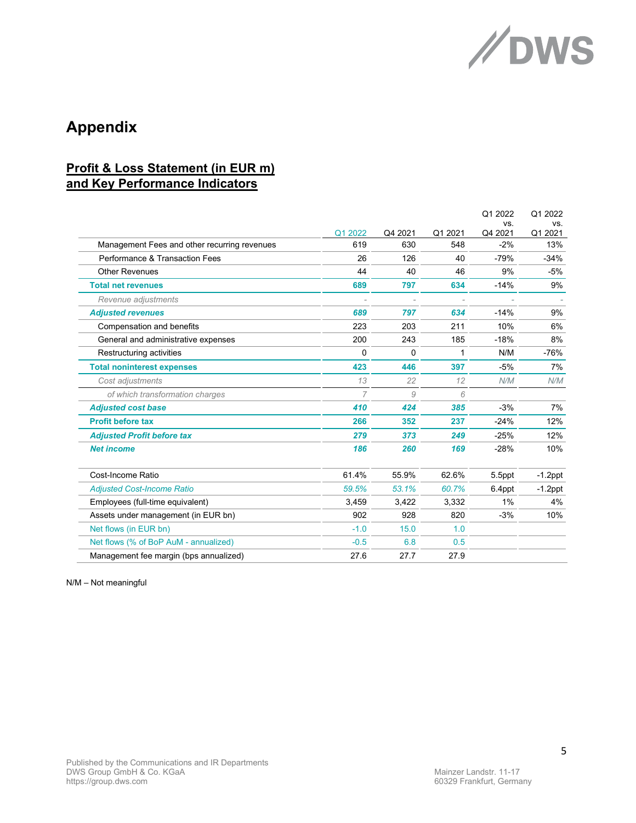

# **Appendix**

## **Profit & Loss Statement (in EUR m) and Key Performance Indicators**

|                                              |                |         |         | Q1 2022        | Q1 2022        |
|----------------------------------------------|----------------|---------|---------|----------------|----------------|
|                                              | Q1 2022        | Q4 2021 | Q1 2021 | VS.<br>Q4 2021 | VS.<br>Q1 2021 |
| Management Fees and other recurring revenues | 619            | 630     | 548     | $-2%$          | 13%            |
| Performance & Transaction Fees               | 26             | 126     | 40      | $-79%$         | $-34%$         |
| <b>Other Revenues</b>                        | 44             | 40      | 46      | 9%             | $-5%$          |
| <b>Total net revenues</b>                    | 689            | 797     | 634     | $-14%$         | 9%             |
| Revenue adjustments                          |                |         | ٠       |                |                |
| <b>Adjusted revenues</b>                     | 689            | 797     | 634     | $-14%$         | 9%             |
| Compensation and benefits                    | 223            | 203     | 211     | 10%            | 6%             |
| General and administrative expenses          | 200            | 243     | 185     | $-18%$         | 8%             |
| Restructuring activities                     | 0              | 0       | 1       | N/M            | $-76%$         |
| <b>Total noninterest expenses</b>            | 423            | 446     | 397     | $-5%$          | 7%             |
| Cost adjustments                             | 13             | 22      | 12      | N/M            | N/M            |
| of which transformation charges              | $\overline{7}$ | 9       | 6       |                |                |
| <b>Adjusted cost base</b>                    | 410            | 424     | 385     | $-3%$          | 7%             |
| <b>Profit before tax</b>                     | 266            | 352     | 237     | $-24%$         | 12%            |
| <b>Adjusted Profit before tax</b>            | 279            | 373     | 249     | $-25%$         | 12%            |
| <b>Net income</b>                            | 186            | 260     | 169     | $-28%$         | 10%            |
| Cost-Income Ratio                            | 61.4%          | 55.9%   | 62.6%   | 5.5ppt         | $-1.2$ ppt     |
| <b>Adjusted Cost-Income Ratio</b>            | 59.5%          | 53.1%   | 60.7%   | 6.4ppt         | $-1.2$ ppt     |
| Employees (full-time equivalent)             | 3,459          | 3,422   | 3,332   | 1%             | 4%             |
| Assets under management (in EUR bn)          | 902            | 928     | 820     | $-3%$          | 10%            |
| Net flows (in EUR bn)                        | $-1.0$         | 15.0    | 1.0     |                |                |
| Net flows (% of BoP AuM - annualized)        | $-0.5$         | 6.8     | 0.5     |                |                |
| Management fee margin (bps annualized)       | 27.6           | 27.7    | 27.9    |                |                |

N/M – Not meaningful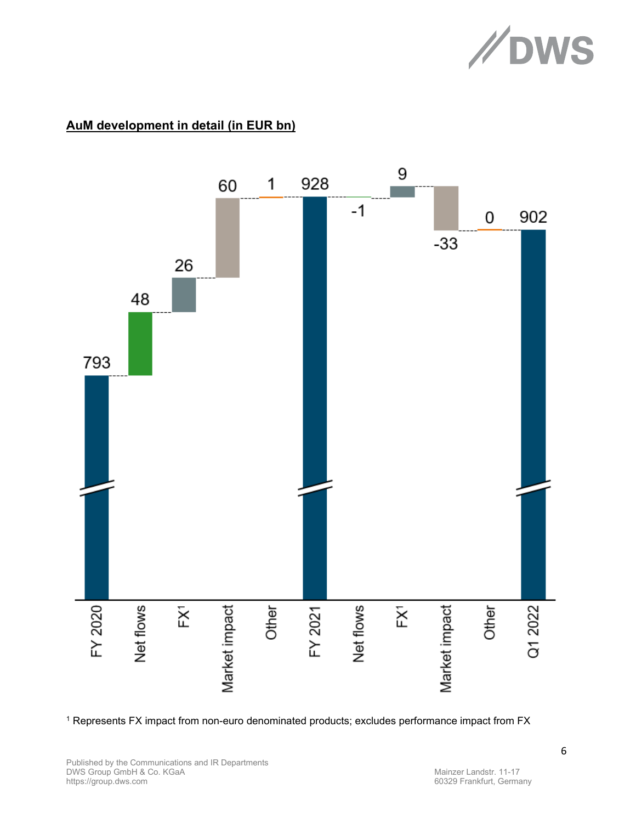

## **AuM development in detail (in EUR bn)**



<sup>1</sup> Represents FX impact from non-euro denominated products; excludes performance impact from FX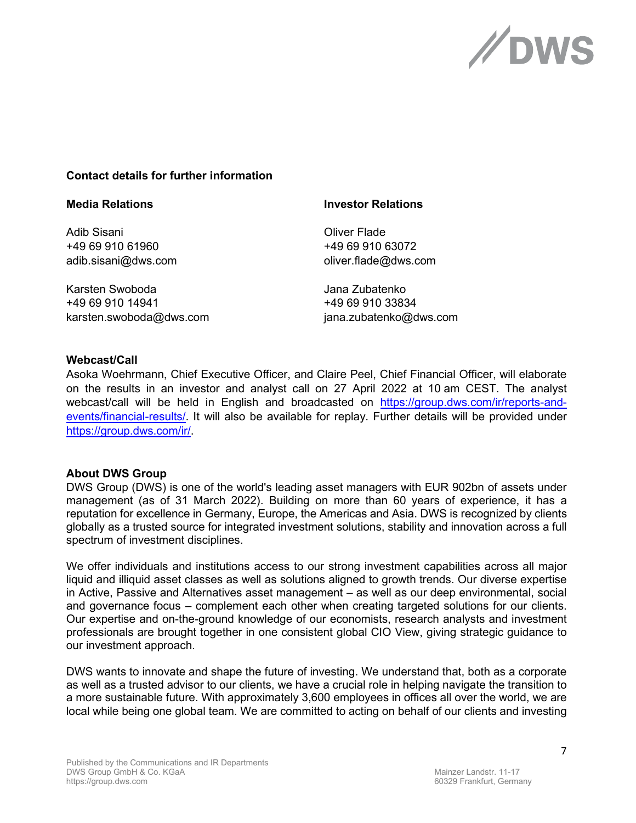

## **Contact details for further information**

| <b>Media Relations</b>  | <b>Investor Relations</b> |  |  |
|-------------------------|---------------------------|--|--|
| Adib Sisani             | <b>Oliver Flade</b>       |  |  |
| +49 69 910 61960        | +49 69 910 63072          |  |  |
| adib.sisani@dws.com     | oliver.flade@dws.com      |  |  |
| Karsten Swoboda         | Jana Zubatenko            |  |  |
| +49 69 910 14941        | +49 69 910 33834          |  |  |
| karsten.swoboda@dws.com | jana.zubatenko@dws.com    |  |  |

### **Webcast/Call**

Asoka Woehrmann, Chief Executive Officer, and Claire Peel, Chief Financial Officer, will elaborate on the results in an investor and analyst call on 27 April 2022 at 10 am CEST. The analyst webcast/call will be held in English and broadcasted on [https://group.dws.com/ir/reports-and](https://group.dws.com/ir/reports-and-events/financial-results/)[events/financial-results/.](https://group.dws.com/ir/reports-and-events/financial-results/) It will also be available for replay. Further details will be provided under [https://group.dws.com/ir/.](https://group.dws.com/ir/)

### **About DWS Group**

DWS Group (DWS) is one of the world's leading asset managers with EUR 902bn of assets under management (as of 31 March 2022). Building on more than 60 years of experience, it has a reputation for excellence in Germany, Europe, the Americas and Asia. DWS is recognized by clients globally as a trusted source for integrated investment solutions, stability and innovation across a full spectrum of investment disciplines.

We offer individuals and institutions access to our strong investment capabilities across all major liquid and illiquid asset classes as well as solutions aligned to growth trends. Our diverse expertise in Active, Passive and Alternatives asset management – as well as our deep environmental, social and governance focus – complement each other when creating targeted solutions for our clients. Our expertise and on-the-ground knowledge of our economists, research analysts and investment professionals are brought together in one consistent global CIO View, giving strategic guidance to our investment approach.

DWS wants to innovate and shape the future of investing. We understand that, both as a corporate as well as a trusted advisor to our clients, we have a crucial role in helping navigate the transition to a more sustainable future. With approximately 3,600 employees in offices all over the world, we are local while being one global team. We are committed to acting on behalf of our clients and investing